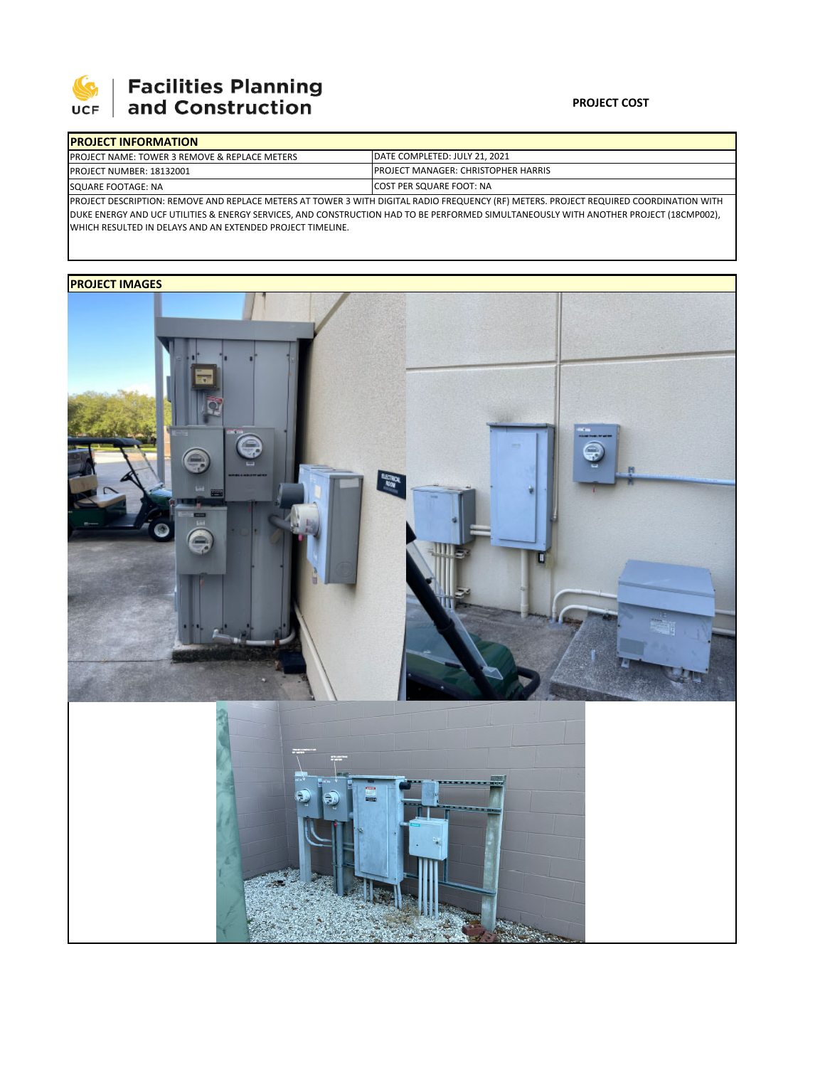

# **Facilities Planning**<br>and Construction

### **PROJECT COST**

| <b>IPROJECT INFORMATION</b>                                                                                                            |                                            |  |  |  |
|----------------------------------------------------------------------------------------------------------------------------------------|--------------------------------------------|--|--|--|
| <b>PROJECT NAME: TOWER 3 REMOVE &amp; REPLACE METERS</b>                                                                               | DATE COMPLETED: JULY 21, 2021              |  |  |  |
| PROJECT NUMBER: 18132001                                                                                                               | <b>PROJECT MANAGER: CHRISTOPHER HARRIS</b> |  |  |  |
| SQUARE FOOTAGE: NA                                                                                                                     | <b>ICOST PER SQUARE FOOT: NA</b>           |  |  |  |
| PROJECT DESCRIPTION: REMOVE AND REPLACE METERS AT TOWER 3 WITH DIGITAL RADIO FREQUENCY (RF) METERS. PROJECT REQUIRED COORDINATION WITH |                                            |  |  |  |

DUKE ENERGY AND UCF UTILITIES & ENERGY SERVICES, AND CONSTRUCTION HAD TO BE PERFORMED SIMULTANEOUSLY WITH ANOTHER PROJECT (18CMP002), WHICH RESULTED IN DELAYS AND AN EXTENDED PROJECT TIMELINE.

## **PROJECT IMAGES**